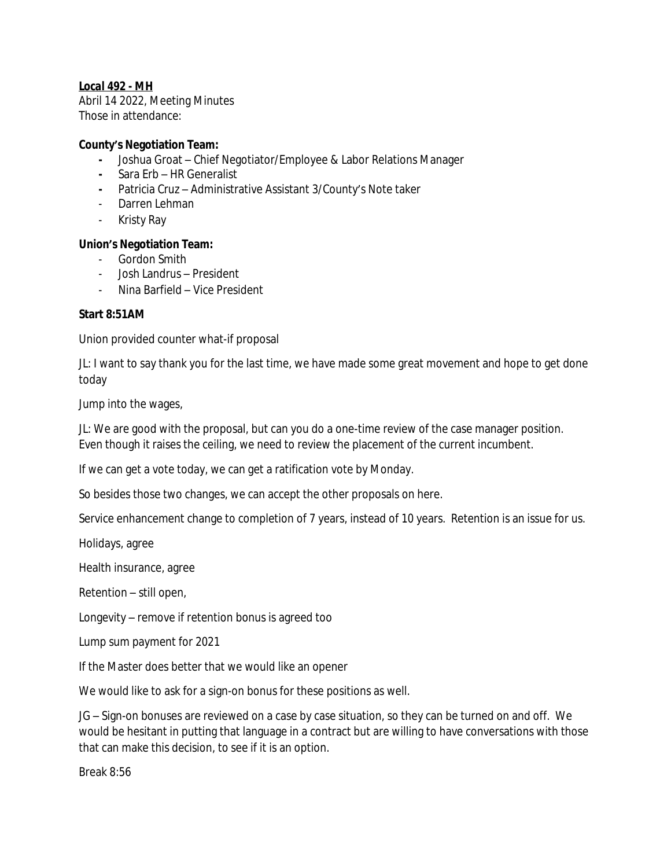# *Local 492 - MH*

Abril 14 2022, Meeting Minutes Those in attendance:

### **County's Negotiation Team:**

- **-** Joshua Groat Chief Negotiator/Employee & Labor Relations Manager
- **-** Sara Erb HR Generalist
- **-** Patricia Cruz Administrative Assistant 3/County's Note taker
- Darren Lehman
- Kristy Ray

### **Union's Negotiation Team:**

- Gordon Smith
- Josh Landrus President
- Nina Barfield Vice President

### **Start 8:51AM**

Union provided counter what-if proposal

JL: I want to say thank you for the last time, we have made some great movement and hope to get done today

Jump into the wages,

JL: We are good with the proposal, but can you do a one-time review of the case manager position. Even though it raises the ceiling, we need to review the placement of the current incumbent.

If we can get a vote today, we can get a ratification vote by Monday.

So besides those two changes, we can accept the other proposals on here.

Service enhancement change to completion of 7 years, instead of 10 years. Retention is an issue for us.

Holidays, agree

Health insurance, agree

Retention – still open,

Longevity – remove if retention bonus is agreed too

Lump sum payment for 2021

If the Master does better that we would like an opener

We would like to ask for a sign-on bonus for these positions as well.

JG – Sign-on bonuses are reviewed on a case by case situation, so they can be turned on and off. We would be hesitant in putting that language in a contract but are willing to have conversations with those that can make this decision, to see if it is an option.

Break 8:56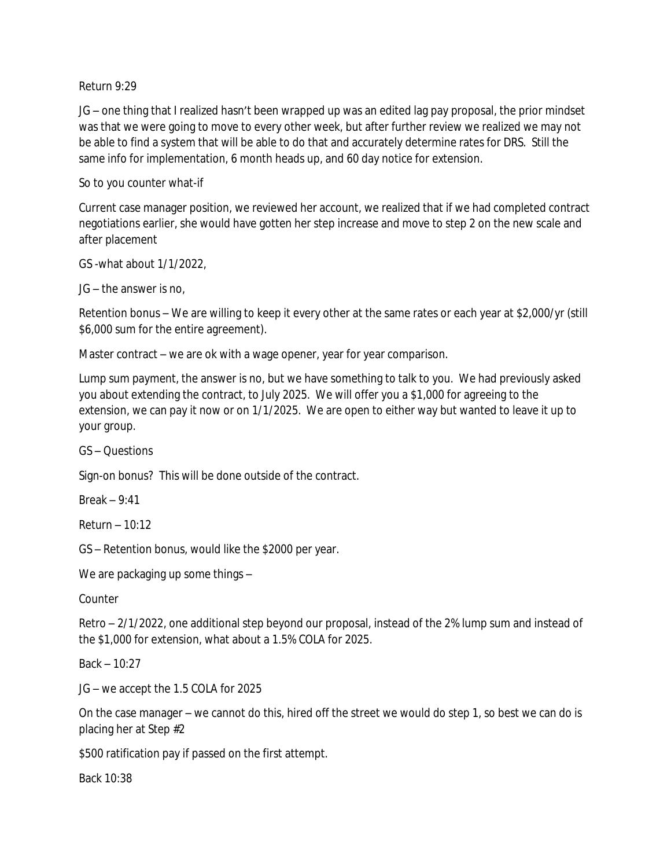#### Return 9:29

JG – one thing that I realized hasn't been wrapped up was an edited lag pay proposal, the prior mindset was that we were going to move to every other week, but after further review we realized we may not be able to find a system that will be able to do that and accurately determine rates for DRS. Still the same info for implementation, 6 month heads up, and 60 day notice for extension.

## So to you counter what-if

Current case manager position, we reviewed her account, we realized that if we had completed contract negotiations earlier, she would have gotten her step increase and move to step 2 on the new scale and after placement

GS -what about 1/1/2022,

JG – the answer is no,

Retention bonus – We are willing to keep it every other at the same rates or each year at \$2,000/yr (still \$6,000 sum for the entire agreement).

Master contract – we are ok with a wage opener, year for year comparison.

Lump sum payment, the answer is no, but we have something to talk to you. We had previously asked you about extending the contract, to July 2025. We will offer you a \$1,000 for agreeing to the extension, we can pay it now or on 1/1/2025. We are open to either way but wanted to leave it up to your group.

GS – Questions

Sign-on bonus? This will be done outside of the contract.

Break – 9:41

Return – 10:12

GS – Retention bonus, would like the \$2000 per year.

We are packaging up some things –

Counter

Retro – 2/1/2022, one additional step beyond our proposal, instead of the 2% lump sum and instead of the \$1,000 for extension, what about a 1.5% COLA for 2025.

Back – 10:27

JG – we accept the 1.5 COLA for 2025

On the case manager – we cannot do this, hired off the street we would do step 1, so best we can do is placing her at Step #2

\$500 ratification pay if passed on the first attempt.

Back 10:38